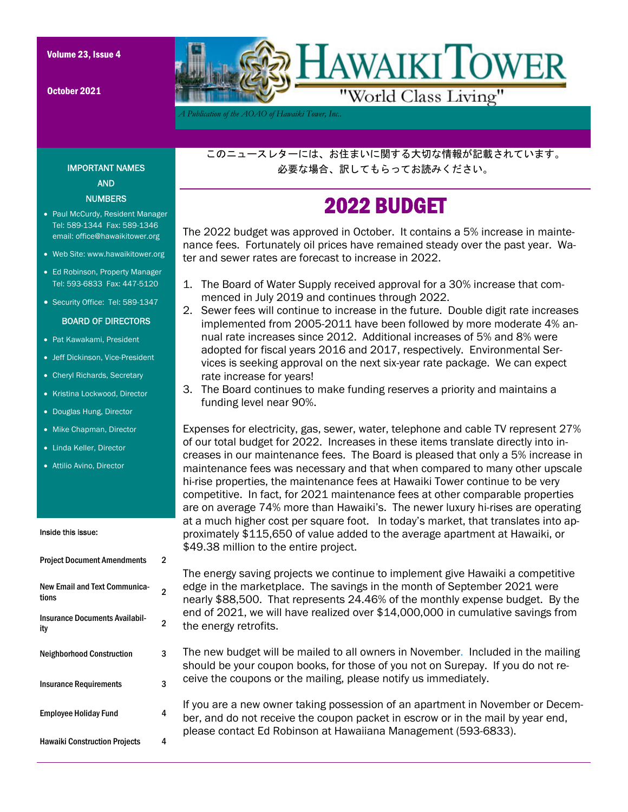October 2021



*A Publication of the AOAO of Hawaiki Tower, Inc..* 

このニュースレターには、お住まいに関する大切な情報が記載されています。 必要な場合、訳してもらってお読みください。

## 2022 BUDGET

The 2022 budget was approved in October. It contains a 5% increase in maintenance fees. Fortunately oil prices have remained steady over the past year. Water and sewer rates are forecast to increase in 2022.

- 1. The Board of Water Supply received approval for a 30% increase that commenced in July 2019 and continues through 2022.
- 2. Sewer fees will continue to increase in the future. Double digit rate increases implemented from 2005-2011 have been followed by more moderate 4% annual rate increases since 2012. Additional increases of 5% and 8% were adopted for fiscal years 2016 and 2017, respectively. Environmental Services is seeking approval on the next six-year rate package. We can expect rate increase for years!
- 3. The Board continues to make funding reserves a priority and maintains a funding level near 90%.

Expenses for electricity, gas, sewer, water, telephone and cable TV represent 27% of our total budget for 2022. Increases in these items translate directly into increases in our maintenance fees. The Board is pleased that only a 5% increase in maintenance fees was necessary and that when compared to many other upscale hi-rise properties, the maintenance fees at Hawaiki Tower continue to be very competitive. In fact, for 2021 maintenance fees at other comparable properties are on average 74% more than Hawaiki's. The newer luxury hi-rises are operating at a much higher cost per square foot. In today's market, that translates into approximately \$115,650 of value added to the average apartment at Hawaiki, or \$49.38 million to the entire project.

The energy saving projects we continue to implement give Hawaiki a competitive edge in the marketplace. The savings in the month of September 2021 were nearly \$88,500. That represents 24.46% of the monthly expense budget. By the end of 2021, we will have realized over \$14,000,000 in cumulative savings from the energy retrofits.

The new budget will be mailed to all owners in November. Included in the mailing should be your coupon books, for those of you not on Surepay. If you do not receive the coupons or the mailing, please notify us immediately.

If you are a new owner taking possession of an apartment in November or December, and do not receive the coupon packet in escrow or in the mail by year end, please contact Ed Robinson at Hawaiiana Management (593-6833).

#### IMPORTANT NAMES AND **NUMBERS**

- Paul McCurdy, Resident Manager Tel: 589-1344 Fax: 589-1346 email: office@hawaikitower.org
- Web Site: www.hawaikitower.org
- Ed Robinson, Property Manager Tel: 593-6833 Fax: 447-5120
- Security Office: Tel: 589-1347

#### BOARD OF DIRECTORS

- Pat Kawakami, President
- Jeff Dickinson, Vice-President
- Cheryl Richards, Secretary
- Kristina Lockwood, Director
- Douglas Hung, Director
- Mike Chapman, Director
- Linda Keller, Director
- Attilio Avino, Director

#### Inside this issue:

| <b>Project Document Amendments</b>            | 2 |
|-----------------------------------------------|---|
| <b>New Email and Text Communica-</b><br>tions | 2 |
| <b>Insurance Documents Availabil-</b><br>ity  | 2 |
| <b>Neighborhood Construction</b>              | 3 |
| <b>Insurance Requirements</b>                 | 3 |
| <b>Employee Holiday Fund</b>                  | 4 |
| <b>Hawaiki Construction Projects</b>          | 4 |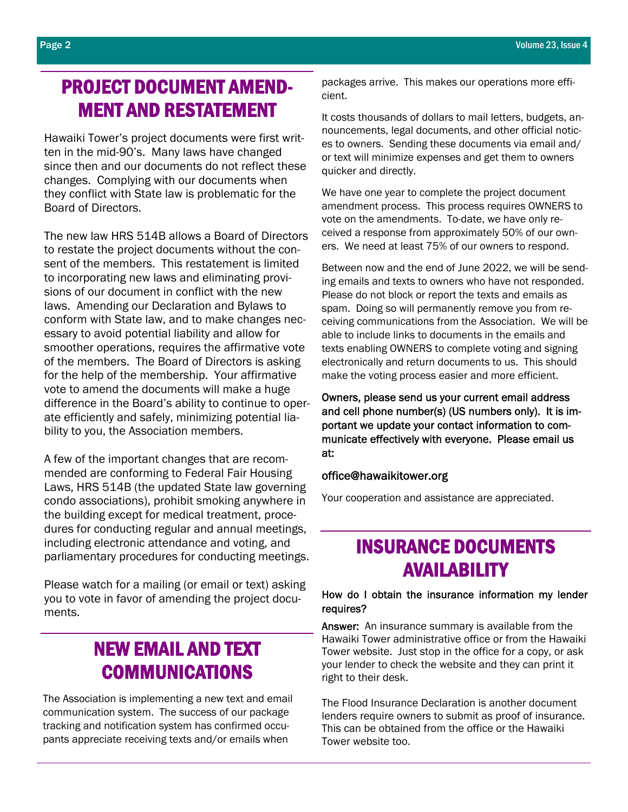### PROJECT DOCUMENT AMEND-MENT AND RESTATEMENT

Hawaiki Tower's project documents were first written in the mid-90's. Many laws have changed since then and our documents do not reflect these changes. Complying with our documents when they conflict with State law is problematic for the Board of Directors.

The new law HRS 514B allows a Board of Directors to restate the project documents without the consent of the members. This restatement is limited to incorporating new laws and eliminating provisions of our document in conflict with the new laws. Amending our Declaration and Bylaws to conform with State law, and to make changes necessary to avoid potential liability and allow for smoother operations, requires the affirmative vote of the members. The Board of Directors is asking for the help of the membership. Your affirmative vote to amend the documents will make a huge difference in the Board's ability to continue to operate efficiently and safely, minimizing potential liability to you, the Association members.

A few of the important changes that are recommended are conforming to Federal Fair Housing Laws, HRS 514B (the updated State law governing condo associations), prohibit smoking anywhere in the building except for medical treatment, procedures for conducting regular and annual meetings, including electronic attendance and voting, and parliamentary procedures for conducting meetings.

Please watch for a mailing (or email or text) asking you to vote in favor of amending the project documents.

### NEW EMAIL AND TEXT COMMUNICATIONS

The Association is implementing a new text and email communication system. The success of our package tracking and notification system has confirmed occupants appreciate receiving texts and/or emails when

packages arrive. This makes our operations more efficient.

It costs thousands of dollars to mail letters, budgets, announcements, legal documents, and other official notices to owners. Sending these documents via email and/ or text will minimize expenses and get them to owners quicker and directly.

We have one year to complete the project document amendment process. This process requires OWNERS to vote on the amendments. To-date, we have only received a response from approximately 50% of our owners. We need at least 75% of our owners to respond.

Between now and the end of June 2022, we will be sending emails and texts to owners who have not responded. Please do not block or report the texts and emails as spam. Doing so will permanently remove you from receiving communications from the Association. We will be able to include links to documents in the emails and texts enabling OWNERS to complete voting and signing electronically and return documents to us. This should make the voting process easier and more efficient.

Owners, please send us your current email address and cell phone number(s) (US numbers only). It is important we update your contact information to communicate effectively with everyone. Please email us at:

#### office@hawaikitower.org

Your cooperation and assistance are appreciated.

### INSURANCE DOCUMENTS AVAILABILITY

#### How do I obtain the insurance information my lender requires?

Answer: An insurance summary is available from the Hawaiki Tower administrative office or from the Hawaiki Tower website. Just stop in the office for a copy, or ask your lender to check the website and they can print it right to their desk.

The Flood Insurance Declaration is another document lenders require owners to submit as proof of insurance. This can be obtained from the office or the Hawaiki Tower website too.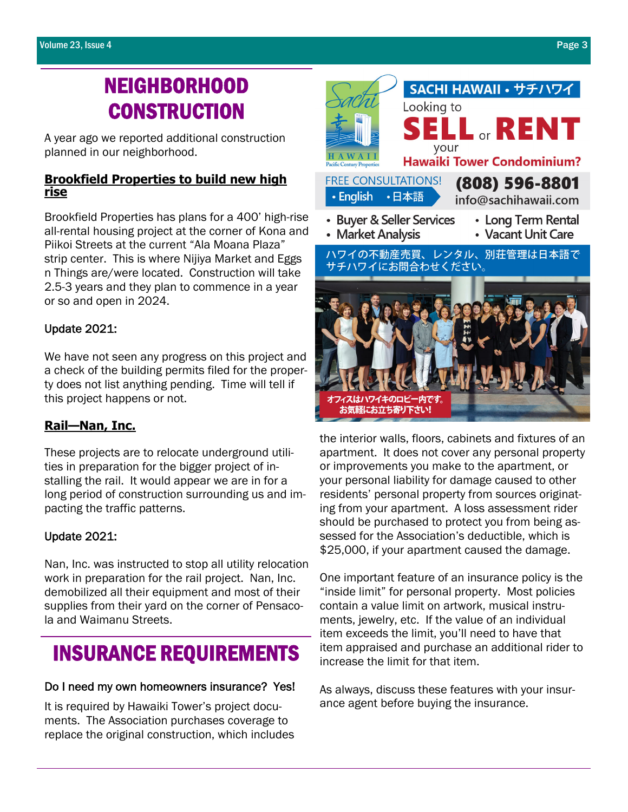# NEIGHBORHOOD **CONSTRUCTION**

A year ago we reported additional construction planned in our neighborhood.

#### **Brookfield Properties to build new high rise**

Brookfield Properties has plans for a 400' high-rise all-rental housing project at the corner of Kona and Piikoi Streets at the current "Ala Moana Plaza" strip center. This is where Nijiya Market and Eggs n Things are/were located. Construction will take 2.5-3 years and they plan to commence in a year or so and open in 2024.

### Update 2021:

We have not seen any progress on this project and a check of the building permits filed for the property does not list anything pending. Time will tell if this project happens or not.

### **Rail—Nan, Inc.**

These projects are to relocate underground utilities in preparation for the bigger project of installing the rail. It would appear we are in for a long period of construction surrounding us and impacting the traffic patterns.

#### Update 2021:

Nan, Inc. was instructed to stop all utility relocation work in preparation for the rail project. Nan, Inc. demobilized all their equipment and most of their supplies from their yard on the corner of Pensacola and Waimanu Streets.

## INSURANCE REQUIREMENTS

#### Do I need my own homeowners insurance? Yes!

It is required by Hawaiki Tower's project documents. The Association purchases coverage to replace the original construction, which includes



apartment. It does not cover any personal property or improvements you make to the apartment, or your personal liability for damage caused to other residents' personal property from sources originating from your apartment. A loss assessment rider should be purchased to protect you from being assessed for the Association's deductible, which is \$25,000, if your apartment caused the damage.

One important feature of an insurance policy is the "inside limit" for personal property. Most policies contain a value limit on artwork, musical instruments, jewelry, etc. If the value of an individual item exceeds the limit, you'll need to have that item appraised and purchase an additional rider to increase the limit for that item.

As always, discuss these features with your insurance agent before buying the insurance.